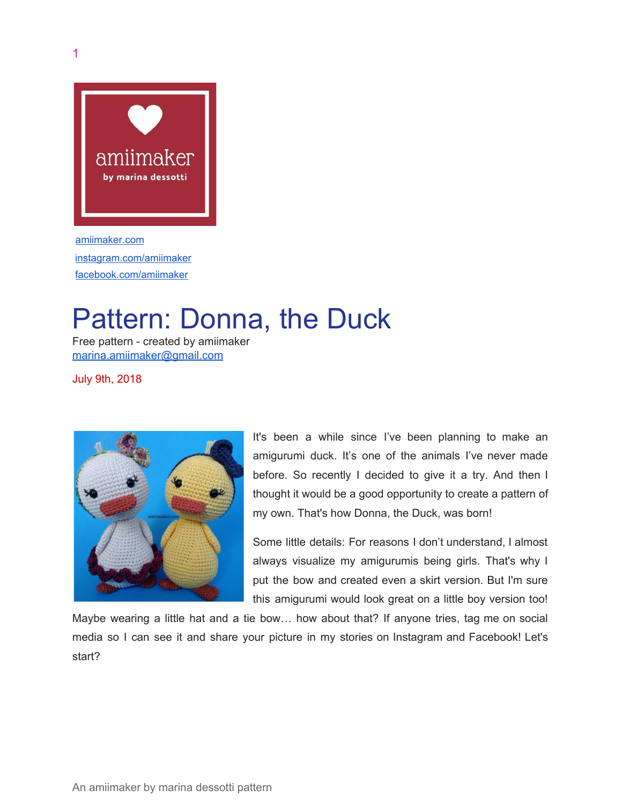

[amiimaker.com](http://www.amiimaker.com/) [instagram.com/amiimaker](http://instagram.com/amiimaker) [facebook.com/amiimaker](http://facebook.com/amiimaker)

# Pattern: Donna, the Duck

Free pattern - created by amiimaker [marina.amiimaker@gmail.com](mailto:marina.amiimaker@gmail.com)

July 9th, 2018



It's been a while since I've been planning to make an amigurumi duck. It's one of the animals I've never made before. So recently I decided to give it a try. And then I thought it would be a good opportunity to create a pattern of my own. That's how Donna, the Duck, was born!

Some little details: For reasons I don't understand, I almost always visualize my amigurumis being girls. That's why I put the bow and created even a skirt version. But I'm sure this amigurumi would look great on a little boy version too!

Maybe wearing a little hat and a tie bow… how about that? If anyone tries, tag me on social media so I can see it and share your picture in my stories on Instagram and Facebook! Let's start?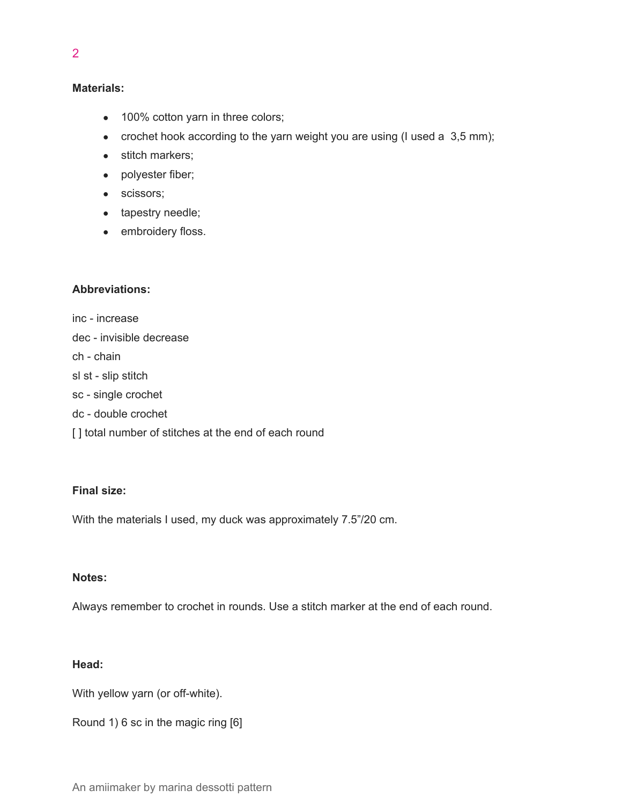## **Materials:**

- 100% cotton yarn in three colors;
- crochet hook according to the yarn weight you are using (I used a  $3,5$  mm);
- stitch markers;
- polyester fiber;
- scissors;
- tapestry needle;
- embroidery floss.

## **Abbreviations:**

inc - increase dec - invisible decrease ch - chain sl st - slip stitch sc - single crochet dc - double crochet [] total number of stitches at the end of each round

## **Final size:**

With the materials I used, my duck was approximately 7.5"/20 cm.

# **Notes:**

Always remember to crochet in rounds. Use a stitch marker at the end of each round.

# **Head:**

With yellow yarn (or off-white).

Round 1) 6 sc in the magic ring [6]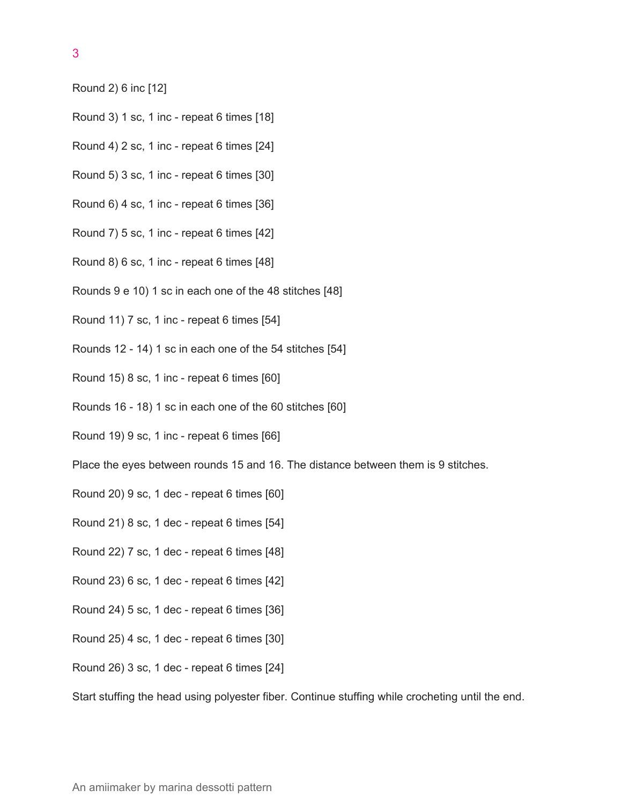3

- Round 2) 6 inc [12]
- Round 3) 1 sc, 1 inc repeat 6 times [18]
- Round 4) 2 sc, 1 inc repeat 6 times [24]
- Round 5) 3 sc, 1 inc repeat 6 times [30]
- Round 6) 4 sc, 1 inc repeat 6 times [36]
- Round 7) 5 sc, 1 inc repeat 6 times [42]
- Round 8) 6 sc, 1 inc repeat 6 times [48]
- Rounds 9 e 10) 1 sc in each one of the 48 stitches [48]
- Round 11) 7 sc, 1 inc repeat 6 times [54]
- Rounds 12 14) 1 sc in each one of the 54 stitches [54]
- Round 15) 8 sc, 1 inc repeat 6 times [60]
- Rounds 16 18) 1 sc in each one of the 60 stitches [60]
- Round 19) 9 sc, 1 inc repeat 6 times [66]

Place the eyes between rounds 15 and 16. The distance between them is 9 stitches.

- Round 20) 9 sc, 1 dec repeat 6 times [60]
- Round 21) 8 sc, 1 dec repeat 6 times [54]
- Round 22) 7 sc, 1 dec repeat 6 times [48]
- Round 23) 6 sc, 1 dec repeat 6 times [42]
- Round 24) 5 sc, 1 dec repeat 6 times [36]
- Round 25) 4 sc, 1 dec repeat 6 times [30]
- Round 26) 3 sc, 1 dec repeat 6 times [24]

Start stuffing the head using polyester fiber. Continue stuffing while crocheting until the end.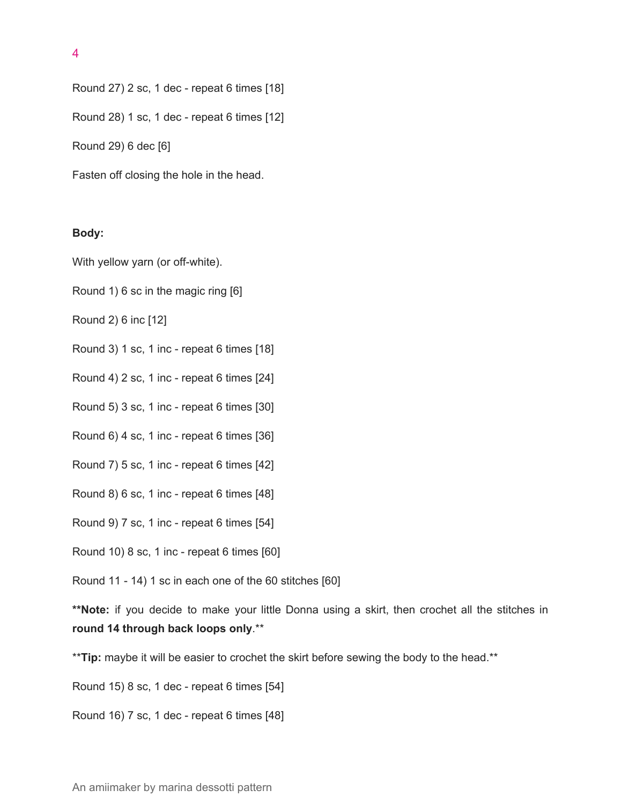4

Round 27) 2 sc, 1 dec - repeat 6 times [18]

Round 28) 1 sc, 1 dec - repeat 6 times [12]

Round 29) 6 dec [6]

Fasten off closing the hole in the head.

#### **Body:**

With yellow yarn (or off-white).

Round 1) 6 sc in the magic ring [6]

Round 2) 6 inc [12]

Round 3) 1 sc, 1 inc - repeat 6 times [18]

Round 4) 2 sc, 1 inc - repeat 6 times [24]

Round 5) 3 sc, 1 inc - repeat 6 times [30]

Round 6) 4 sc, 1 inc - repeat 6 times [36]

Round 7) 5 sc, 1 inc - repeat 6 times [42]

Round 8) 6 sc, 1 inc - repeat 6 times [48]

Round 9) 7 sc, 1 inc - repeat 6 times [54]

Round 10) 8 sc, 1 inc - repeat 6 times [60]

Round 11 - 14) 1 sc in each one of the 60 stitches [60]

**\*\*Note:** if you decide to make your little Donna using a skirt, then crochet all the stitches in **round 14 through back loops only**.\*\*

\*\***Tip:** maybe it will be easier to crochet the skirt before sewing the body to the head.\*\*

Round 15) 8 sc, 1 dec - repeat 6 times [54]

Round 16) 7 sc, 1 dec - repeat 6 times [48]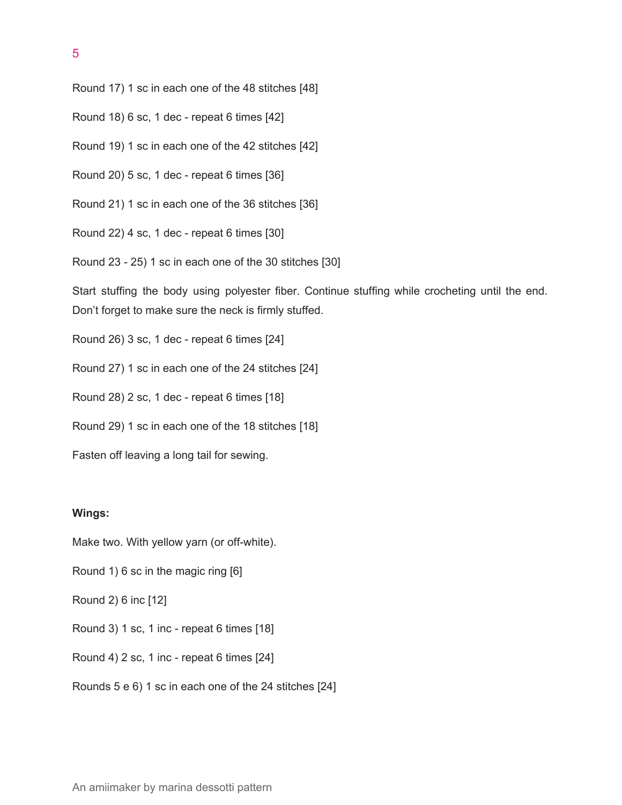5

Round 17) 1 sc in each one of the 48 stitches [48]

Round 18) 6 sc, 1 dec - repeat 6 times [42]

Round 19) 1 sc in each one of the 42 stitches [42]

Round 20) 5 sc, 1 dec - repeat 6 times [36]

Round 21) 1 sc in each one of the 36 stitches [36]

Round 22) 4 sc, 1 dec - repeat 6 times [30]

Round 23 - 25) 1 sc in each one of the 30 stitches [30]

Start stuffing the body using polyester fiber. Continue stuffing while crocheting until the end. Don't forget to make sure the neck is firmly stuffed.

Round 26) 3 sc, 1 dec - repeat 6 times [24]

Round 27) 1 sc in each one of the 24 stitches [24]

Round 28) 2 sc, 1 dec - repeat 6 times [18]

Round 29) 1 sc in each one of the 18 stitches [18]

Fasten off leaving a long tail for sewing.

#### **Wings:**

Make two. With yellow yarn (or off-white).

Round 1) 6 sc in the magic ring [6]

Round 2) 6 inc [12]

Round 3) 1 sc, 1 inc - repeat 6 times [18]

Round 4) 2 sc, 1 inc - repeat 6 times [24]

Rounds 5 e 6) 1 sc in each one of the 24 stitches [24]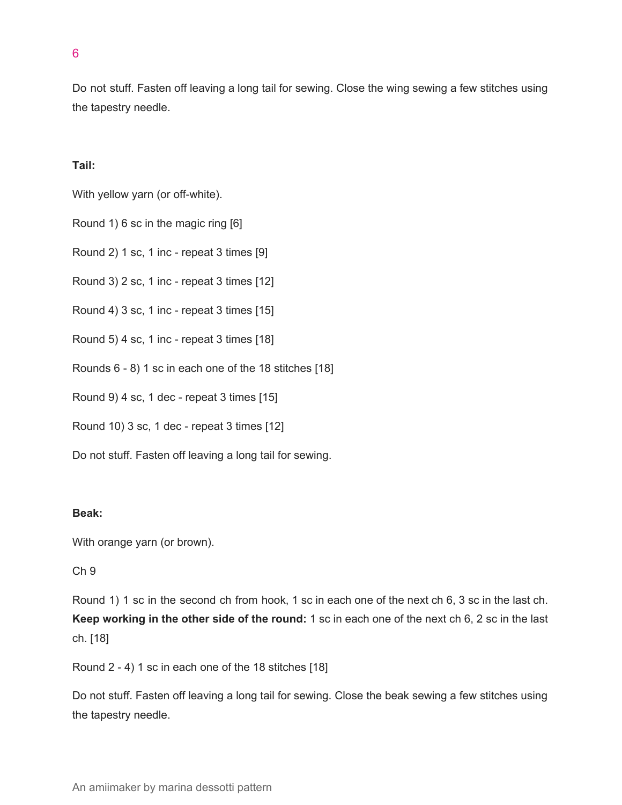Do not stuff. Fasten off leaving a long tail for sewing. Close the wing sewing a few stitches using the tapestry needle.

## **Tail:**

With yellow yarn (or off-white).

Round 1) 6 sc in the magic ring [6]

Round 2) 1 sc, 1 inc - repeat 3 times [9]

Round 3) 2 sc, 1 inc - repeat 3 times [12]

Round 4) 3 sc, 1 inc - repeat 3 times [15]

Round 5) 4 sc, 1 inc - repeat 3 times [18]

Rounds 6 - 8) 1 sc in each one of the 18 stitches [18]

Round 9) 4 sc, 1 dec - repeat 3 times [15]

Round 10) 3 sc, 1 dec - repeat 3 times [12]

Do not stuff. Fasten off leaving a long tail for sewing.

## **Beak:**

With orange yarn (or brown).

## Ch 9

Round 1) 1 sc in the second ch from hook, 1 sc in each one of the next ch 6, 3 sc in the last ch. **Keep working in the other side of the round:** 1 sc in each one of the next ch 6, 2 sc in the last ch. [18]

Round 2 - 4) 1 sc in each one of the 18 stitches [18]

Do not stuff. Fasten off leaving a long tail for sewing. Close the beak sewing a few stitches using the tapestry needle.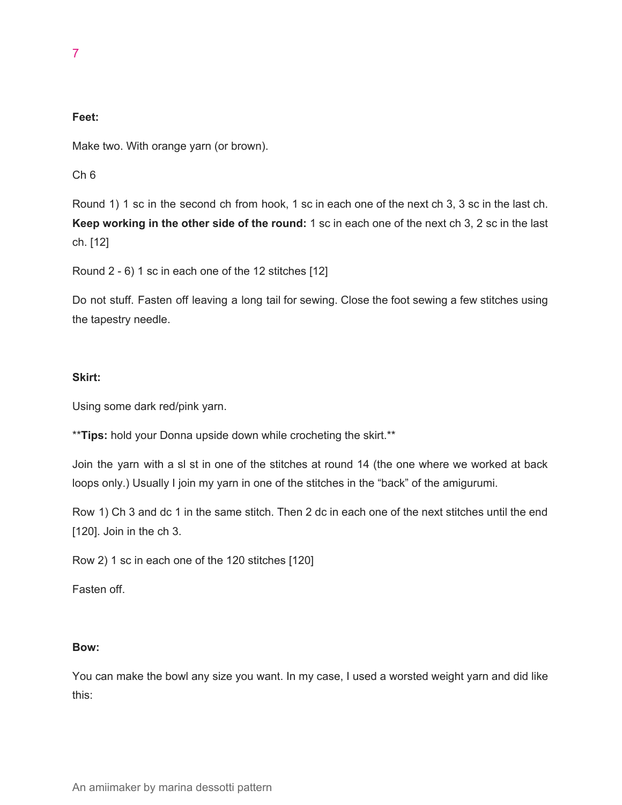## **Feet:**

Make two. With orange yarn (or brown).

Ch 6

Round 1) 1 sc in the second ch from hook, 1 sc in each one of the next ch 3, 3 sc in the last ch. **Keep working in the other side of the round:** 1 sc in each one of the next ch 3, 2 sc in the last ch. [12]

Round 2 - 6) 1 sc in each one of the 12 stitches [12]

Do not stuff. Fasten off leaving a long tail for sewing. Close the foot sewing a few stitches using the tapestry needle.

## **Skirt:**

Using some dark red/pink yarn.

\*\***Tips:** hold your Donna upside down while crocheting the skirt.\*\*

Join the yarn with a sl st in one of the stitches at round 14 (the one where we worked at back loops only.) Usually I join my yarn in one of the stitches in the "back" of the amigurumi.

Row 1) Ch 3 and dc 1 in the same stitch. Then 2 dc in each one of the next stitches until the end [120]. Join in the ch 3.

Row 2) 1 sc in each one of the 120 stitches [120]

Fasten off.

## **Bow:**

You can make the bowl any size you want. In my case, I used a worsted weight yarn and did like this: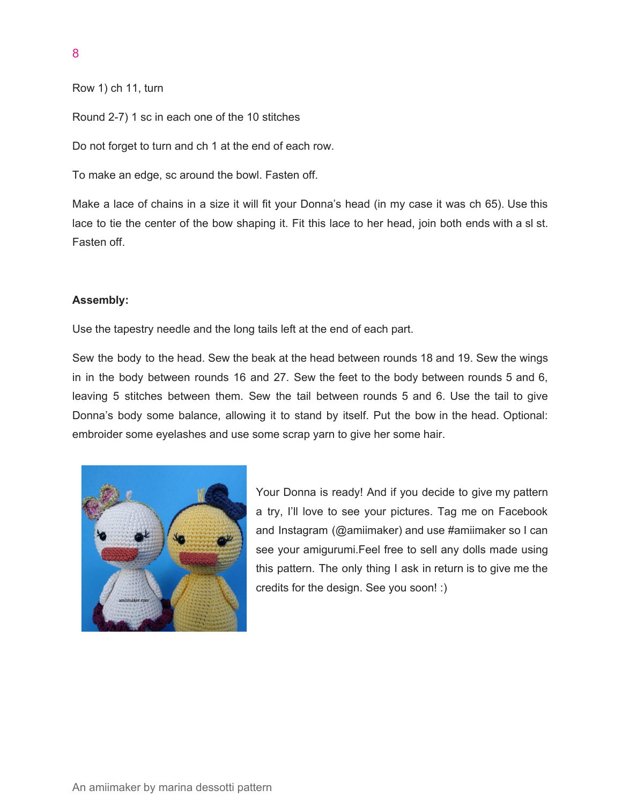```
8
```

```
Row 1) ch 11, turn
```
Round 2-7) 1 sc in each one of the 10 stitches

Do not forget to turn and ch 1 at the end of each row.

To make an edge, sc around the bowl. Fasten off.

Make a lace of chains in a size it will fit your Donna's head (in my case it was ch 65). Use this lace to tie the center of the bow shaping it. Fit this lace to her head, join both ends with a sl st. Fasten off.

## **Assembly:**

Use the tapestry needle and the long tails left at the end of each part.

Sew the body to the head. Sew the beak at the head between rounds 18 and 19. Sew the wings in in the body between rounds 16 and 27. Sew the feet to the body between rounds 5 and 6, leaving 5 stitches between them. Sew the tail between rounds 5 and 6. Use the tail to give Donna's body some balance, allowing it to stand by itself. Put the bow in the head. Optional: embroider some eyelashes and use some scrap yarn to give her some hair.



Your Donna is ready! And if you decide to give my pattern a try, I'll love to see your pictures. Tag me on Facebook and Instagram (@amiimaker) and use #amiimaker so I can see your amigurumi.Feel free to sell any dolls made using this pattern. The only thing I ask in return is to give me the credits for the design. See you soon! :)